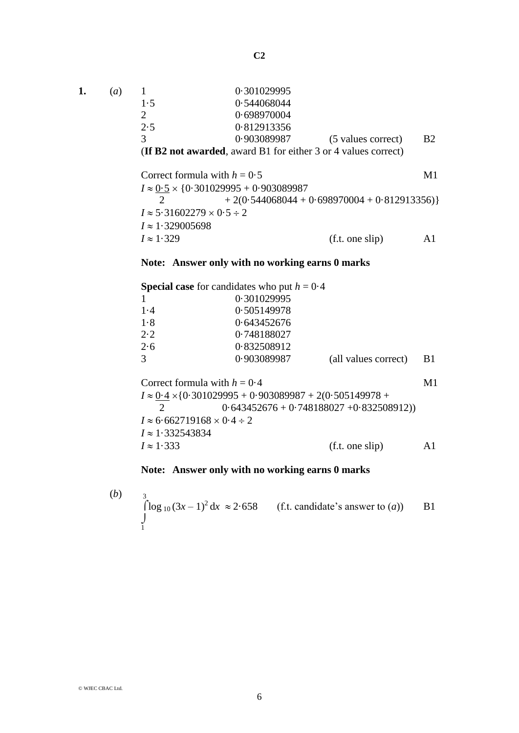**C2**

| 1. | (a) |                                                      | 0.301029995 |                                                                       |           |  |
|----|-----|------------------------------------------------------|-------------|-----------------------------------------------------------------------|-----------|--|
|    |     | 1.5                                                  | 0.544068044 |                                                                       |           |  |
|    |     | $\mathcal{D}_{\cdot}$                                | 0.698970004 |                                                                       |           |  |
|    |     | 2.5                                                  | 0.812913356 |                                                                       |           |  |
|    |     | 3                                                    | 0.903089987 | (5 values correct)                                                    | <b>B2</b> |  |
|    |     |                                                      |             | <b>(If B2 not awarded, award B1 for either 3 or 4 values correct)</b> |           |  |
|    |     | Correct formula with $h = 0.5$                       |             |                                                                       | M1        |  |
|    |     | $I \approx 0.5 \times \{0.301029995 + 0.903089987\}$ |             |                                                                       |           |  |
|    |     | $+2(0.544068044 + 0.698970004 + 0.812913356)$        |             |                                                                       |           |  |
|    |     | $I \approx 5.31602279 \times 0.5 \div 2$             |             |                                                                       |           |  |
|    |     | $I \approx 1.329005698$                              |             |                                                                       |           |  |
|    |     | $I \approx 1.329$                                    |             | (f.t. one slip)                                                       |           |  |

## **Note: Answer only with no working earns 0 marks**

|                | <b>Special case</b> for candidates who put $h = 0.4$ |                      |            |
|----------------|------------------------------------------------------|----------------------|------------|
|                | 0.301029995                                          |                      |            |
| 1.4            | 0.505149978                                          |                      |            |
| 1.8            | 0.643452676                                          |                      |            |
| 2.2            | 0.748188027                                          |                      |            |
| 2.6            | 0.832508912                                          |                      |            |
| $\overline{3}$ | 0.903089987                                          | (all values correct) | <b>B</b> 1 |
|                | Correct formula with $h = 0.4$                       |                      | M1         |

 $I \approx 0.4 \times \{0.301029995 + 0.903089987 + 2(0.505149978 +$ 2 0.643452676 + 0.748188027 + 0.832508912))  $I \approx 6.662719168 \times 0.4 \div 2$  $I \approx 1.332543834$  $I \approx 1.333$  (f.t. one slip) A1

## **Note: Answer only with no working earns 0 marks**

(b) 
$$
\int_{1}^{3} \log_{10} (3x-1)^2 dx \approx 2.658
$$
 (f.t. candidate's answer to (a)) B1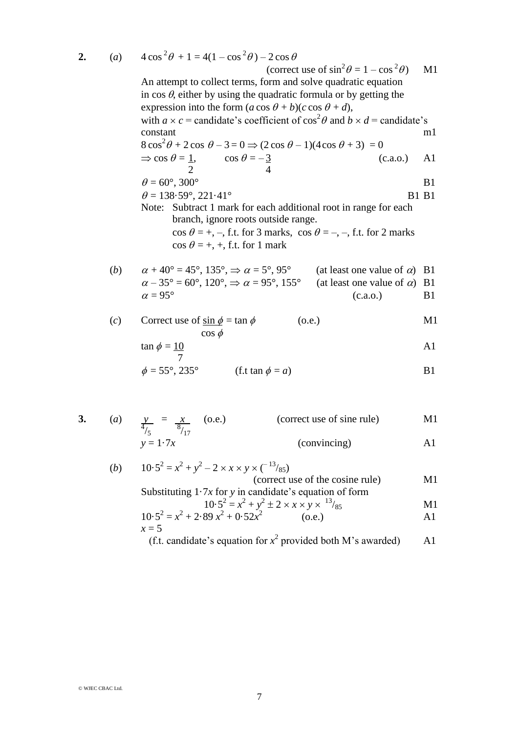**2.** (*a*)  $4\cos^2\theta + 1 = 4(1 - \cos^2\theta) - 2\cos\theta$ 

$$
(\text{correct use of } \sin^2 \theta = 1 - \cos^2 \theta) \quad \text{M1}
$$

An attempt to collect terms, form and solve quadratic equation in  $\cos \theta$ , either by using the quadratic formula or by getting the expression into the form  $(a \cos \theta + b)(c \cos \theta + d)$ , with  $a \times c$  = candidate's coefficient of  $\cos^2 \theta$  and  $b \times d$  = candidate's constant m1  $8\cos^2\theta + 2\cos\theta - 3 = 0 \Rightarrow (2\cos\theta - 1)(4\cos\theta + 3) = 0$  $\Rightarrow$  cos  $\theta = 1$ , cos  $\theta = -3$  (c.a.o.) A1 2 4  $\theta = 60^\circ, 300^\circ$  B1  $\theta = 138.59^{\circ}, 221.41^{\circ}$  B1 B1 Note: Subtract 1 mark for each additional root in range for each branch, ignore roots outside range.  $\cos \theta = +, -$ , f.t. for 3 marks,  $\cos \theta = -, -$ , f.t. for 2 marks  $\cos \theta = +$ , +, f.t. for 1 mark

(b) 
$$
\alpha + 40^{\circ} = 45^{\circ}, 135^{\circ}, \Rightarrow \alpha = 5^{\circ}, 95^{\circ}
$$
 (at least one value of  $\alpha$ ) B1  
\n $\alpha - 35^{\circ} = 60^{\circ}, 120^{\circ}, \Rightarrow \alpha = 95^{\circ}, 155^{\circ}$  (at least one value of  $\alpha$ ) B1  
\n $\alpha = 95^{\circ}$  (c.a.o.) B1

(c) Correct use of 
$$
\sin \phi = \tan \phi
$$
 (o.e.)  
\n $\cos \phi$  (0.e.)

$$
\tan \phi = \frac{10}{7}
$$

$$
\phi = 55^{\circ}, 235^{\circ} \qquad \text{(f.t }\tan \phi = a\text{)}
$$

3. (a) 
$$
\frac{y}{4/5} = \frac{x}{8/17}
$$
 (o.e.) (correct use of sine rule) M1  
  $y = 1.7x$  (convincing) A1

(b) 
$$
10.5^2 = x^2 + y^2 - 2 \times x \times y \times (-\frac{13}{85})
$$
  
\n(correct use of the cosine rule)  
\nSubstituting 1.7x for y in candidate's equation of form  
\n $10.5^2 = x^2 + y^2 \pm 2 \times x \times y \times \frac{13}{85}$   
\n $x = 5$   
\n $x = 5$   
\n $x = 5$   
\n $x = 5$   
\n $x = 5$   
\n $x = 5$   
\n $x = 5$   
\n $x = 5$   
\n $x = 5$   
\n $x = 5$   
\n $x = 5$   
\n $x = 5$   
\n $x = 5$   
\n $x = 5$   
\n $x = 5$   
\n $x = 5$   
\n $x = 5$   
\n $x = 5$   
\n $x = 5$   
\n $x = 5$   
\n $x = 5$   
\n $x = 5$   
\n $x = 5$   
\n $x = 5$   
\n $x = 2$   
\n $x = 5$   
\n $x = 2$   
\n $x = 5$   
\n $x = 1$   
\n $x = 5$   
\n $x = 2$   
\n $x = 3$   
\n $x = 1$   
\n $x = 5$   
\n $x = 1$   
\n $x = 6$   
\n $x = 1$   
\n $x = 6$   
\n $x = 1$   
\n $x = 6$   
\n $x = 1$   
\n $x = 6$   
\n $x = 1$   
\n $x = 6$   
\n $x = 1$   
\n $x = 1$   
\n $x = 6$   
\n $x = 1$   
\n $x = 6$   
\n $x = 1$   
\n $x = 6$   
\n $x = 1$   
\n $x = 6$   
\n $x = 1$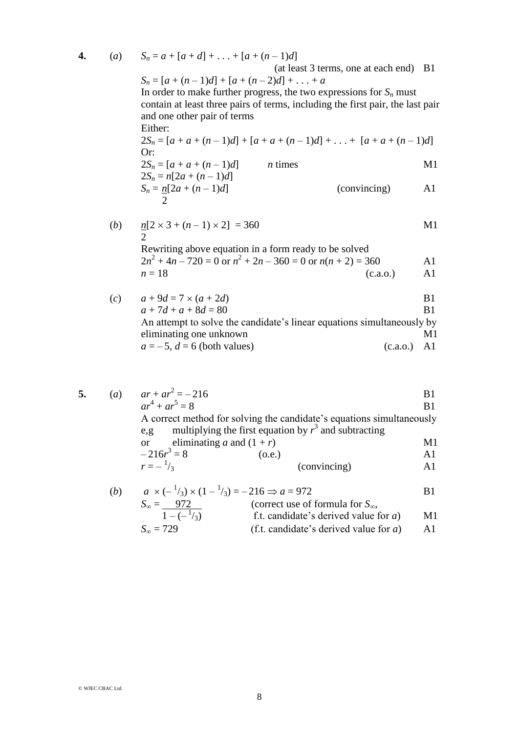4. (a) 
$$
S_n = a + [a + d] + ... + [a + (n-1)d]
$$
  
\n(a least 3 terms, one at each end) B1  
\n $S_n = [a + (n-1)d] + [a + (n-2)d] + ... + a$   
\nIn order to make further progress, the two expressions for  $S_n$  must  
\ncontain at least three pairs of terms, including the first pair, the last pair  
\nand one other pair of terms  
\nEither:  
\n $2S_n = [a + a + (n-1)d] + [a + a + (n-1)d] + ... + [a + a + (n-1)d]$   
\nOr:  
\n $2S_n = [a + a + (n-1)d]$  n times  
\n $2S_n = n[2a + (n-1)d]$  (convincing) A1  
\n $S_n = n[2a + (n-1)d]$  (convincing) A1  
\n $2$   
\n(b)  $n[2 \times 3 + (n-1) \times 2] = 360$  M1  
\n $2$   
\nRewriting above equation in a form ready to be solved  
\n $2n^2 + 4n - 720 = 0$  or  $n^2 + 2n - 360 = 0$  or  $n(n + 2) = 360$  A1  
\n $n = 18$  (c.a.o.) A1  
\n(c)  $a + 9d = 7 \times (a + 2d)$  B1  
\n $a + 7d + a + 8d = 80$  B1  
\nAn attempt to solve the candidate's linear equations simultaneously by  
\neliminating one unknown M1  
\n $a = -5, d = 6$  (both values) (c.a.o.) A1

5. (a) 
$$
ar + ar^2 = -216
$$
 B1  
\n $ar^4 + ar^5 = 8$  B1  
\nA correct method for solving the candidate's equations simultaneously  
\ne,g multiplying the first equation by  $r^3$  and subtracting

or eliminating *a* and 
$$
(1 + r)
$$
  
-216 $r^3 = 8$  (o.e.) A1

$$
-216r3 = 8
$$
 (o.e.)  
\n
$$
r = -\frac{1}{3}
$$
 (convincing) A1

(b) 
$$
a \times (-\frac{1}{3}) \times (1 - \frac{1}{3}) = -216 \Rightarrow a = 972
$$
  
\n $S_{\infty} = \frac{972}{1 - (-\frac{1}{3})}$  (correct use of formula for  $S_{\infty}$ ,  
\n $S_{\infty} = 729$  (f.t. candidate's derived value for a)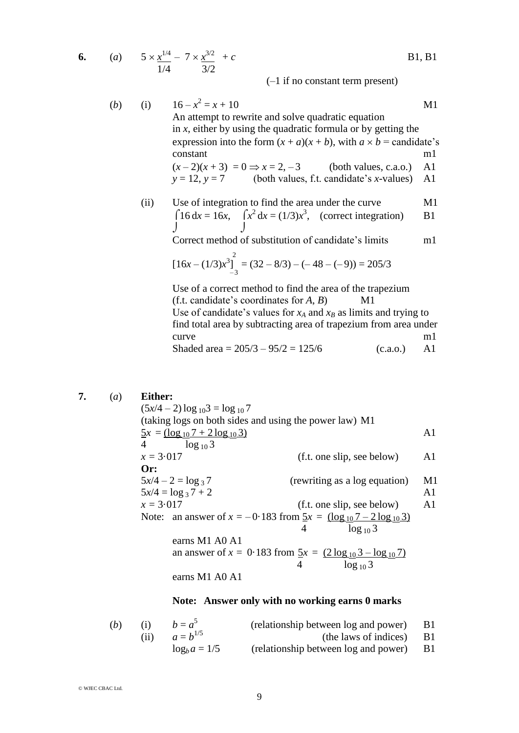6. (a) 
$$
5 \times \frac{x^{1/4}}{1/4} - 7 \times \frac{x^{3/2}}{3/2} + c
$$
 B1, B1

(–1 if no constant term present)

(b) (i) 
$$
16 - x^2 = x + 10
$$
  
\nAn attempt to rewrite and solve quadratic equation  
\nin x, either by using the quadratic formula or by getting the  
\nexpression into the form  $(x + a)(x + b)$ , with  $a \times b$  = candidate's  
\nconstant  
\n $(x-2)(x+3) = 0 \Rightarrow x = 2, -3$  (both values, c.a.o.) A1  
\n $y = 12, y = 7$  (both values, f.t. candidate's x-values) A1

(ii) Use of integration to find the area under the curve  
\n
$$
\int 16 \, dx = 16x
$$
,  $\int x^2 \, dx = (1/3)x^3$ , (correct integration) B1

Correct method of substitution of candidate's limits m1

$$
[16x - (1/3)x^{3}]_{-3}^{2} = (32 - 8/3) - (-48 - (-9)) = 205/3
$$

Use of a correct method to find the area of the trapezium  $(f.t. candidate's coordinates for  $A, B$ )$  M1 Use of candidate's values for  $x_A$  and  $x_B$  as limits and trying to find total area by subtracting area of trapezium from area under curve m1 Shaded area =  $205/3 - 95/2 = 125/6$  (c.a.o.) A1

## **7.** (*a*) **Either:**

 $(5x/4 - 2) \log_{10} 3 = \log_{10} 7$ (taking logs on both sides and using the power law) M1  $5x = (\log_{10} 7 + 2 \log_{10} 3)$  A1  $\log_{10} 3$  $x = 3.017$  (f.t. one slip, see below) A1 **Or:**  $5x/4 - 2 = \log_3 7$  (rewriting as a log equation) M1  $5x/4 = \log_3 7 + 2$ <br>  $x = 3.017$  A1<br>
(f.t. one slip, see below) A1  $(f.t. one slip, see below)$  A1 Note: an answer of  $x = -0.183$  from  $5x = (\log_{10} 7 - 2 \log_{10} 3)$  $4 \log_{10} 3$ earns M1 A0 A1 an answer of  $x = 0.183$  from  $\frac{5x}{4} = \frac{(2 \log_{10} 3 - \log_{10} 7)}{\log_{10} 3}$  $4 \log_{10} 3$ earns M1 A0 A1

## **Note: Answer only with no working earns 0 marks**

| (b) | $b = a^3$          | (relationship between log and power)    | B <sub>1</sub> |
|-----|--------------------|-----------------------------------------|----------------|
|     | (ii) $a = b^{1/5}$ | (the laws of indices) B1                |                |
|     | $\log_b a = 1/5$   | (relationship between log and power) B1 |                |